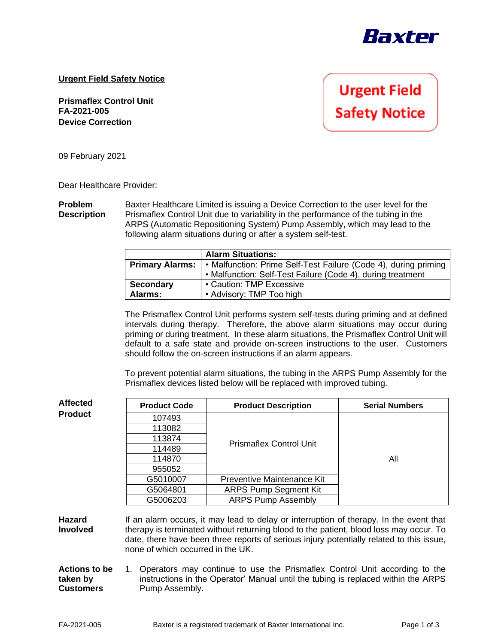

## **Urgent Field Safety Notice**

**Prismaflex Control Unit FA-2021-005 Device Correction**

**Urgent Field Safety Notice** 

09 February 2021

Dear Healthcare Provider:

**Problem Description** Baxter Healthcare Limited is issuing a Device Correction to the user level for the Prismaflex Control Unit due to variability in the performance of the tubing in the ARPS (Automatic Repositioning System) Pump Assembly, which may lead to the following alarm situations during or after a system self-test.

|                        | <b>Alarm Situations:</b>                                        |  |  |
|------------------------|-----------------------------------------------------------------|--|--|
| <b>Primary Alarms:</b> | • Malfunction: Prime Self-Test Failure (Code 4), during priming |  |  |
|                        | • Malfunction: Self-Test Failure (Code 4), during treatment     |  |  |
| <b>Secondary</b>       | • Caution: TMP Excessive                                        |  |  |
| <b>Alarms:</b>         | • Advisory: TMP Too high                                        |  |  |

The Prismaflex Control Unit performs system self-tests during priming and at defined intervals during therapy. Therefore, the above alarm situations may occur during priming or during treatment. In these alarm situations, the Prismaflex Control Unit will default to a safe state and provide on-screen instructions to the user. Customers should follow the on-screen instructions if an alarm appears.

To prevent potential alarm situations, the tubing in the ARPS Pump Assembly for the Prismaflex devices listed below will be replaced with improved tubing.

| Affected                                      | <b>Product Code</b>                                                                                                                                                                                                                                                                                               | <b>Product Description</b>     | <b>Serial Numbers</b> |  |  |
|-----------------------------------------------|-------------------------------------------------------------------------------------------------------------------------------------------------------------------------------------------------------------------------------------------------------------------------------------------------------------------|--------------------------------|-----------------------|--|--|
| <b>Product</b>                                | 107493                                                                                                                                                                                                                                                                                                            |                                | All                   |  |  |
|                                               | 113082                                                                                                                                                                                                                                                                                                            |                                |                       |  |  |
|                                               | 113874                                                                                                                                                                                                                                                                                                            | <b>Prismaflex Control Unit</b> |                       |  |  |
|                                               | 114489                                                                                                                                                                                                                                                                                                            |                                |                       |  |  |
|                                               | 114870                                                                                                                                                                                                                                                                                                            |                                |                       |  |  |
|                                               | 955052                                                                                                                                                                                                                                                                                                            |                                |                       |  |  |
|                                               | G5010007                                                                                                                                                                                                                                                                                                          | Preventive Maintenance Kit     |                       |  |  |
|                                               | G5064801                                                                                                                                                                                                                                                                                                          | <b>ARPS Pump Segment Kit</b>   |                       |  |  |
|                                               | G5006203                                                                                                                                                                                                                                                                                                          | <b>ARPS Pump Assembly</b>      |                       |  |  |
| Hazard<br>Involved                            | If an alarm occurs, it may lead to delay or interruption of therapy. In the event that<br>therapy is terminated without returning blood to the patient, blood loss may occur. To<br>date, there have been three reports of serious injury potentially related to this issue,<br>none of which occurred in the UK. |                                |                       |  |  |
| <b>Actions to be</b><br>taken by<br>Customers | 1. Operators may continue to use the Prismaflex Control Unit according to the<br>instructions in the Operator' Manual until the tubing is replaced within the ARPS<br>Pump Assembly.                                                                                                                              |                                |                       |  |  |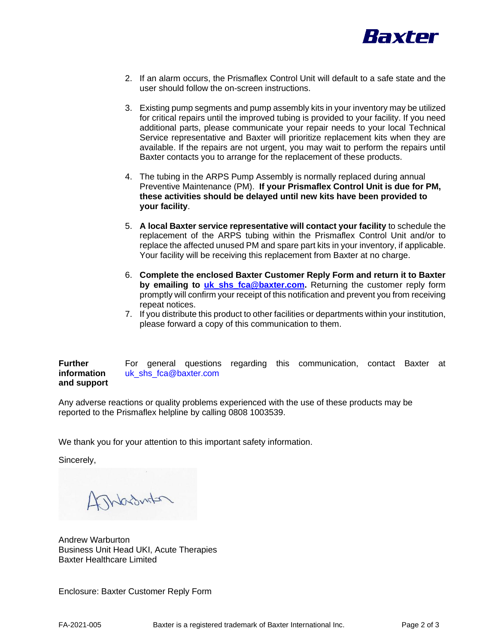

- 2. If an alarm occurs, the Prismaflex Control Unit will default to a safe state and the user should follow the on-screen instructions.
- 3. Existing pump segments and pump assembly kits in your inventory may be utilized for critical repairs until the improved tubing is provided to your facility. If you need additional parts, please communicate your repair needs to your local Technical Service representative and Baxter will prioritize replacement kits when they are available. If the repairs are not urgent, you may wait to perform the repairs until Baxter contacts you to arrange for the replacement of these products.
- 4. The tubing in the ARPS Pump Assembly is normally replaced during annual Preventive Maintenance (PM). **If your Prismaflex Control Unit is due for PM, these activities should be delayed until new kits have been provided to your facility**.
- 5. **A local Baxter service representative will contact your facility** to schedule the replacement of the ARPS tubing within the Prismaflex Control Unit and/or to replace the affected unused PM and spare part kits in your inventory, if applicable. Your facility will be receiving this replacement from Baxter at no charge.
- 6. **Complete the enclosed Baxter Customer Reply Form and return it to Baxter by emailing to [uk\\_shs\\_fca@baxter.com.](mailto:uk_shs_fca@baxter.com)** Returning the customer reply form promptly will confirm your receipt of this notification and prevent you from receiving repeat notices.
- 7. If you distribute this product to other facilities or departments within your institution, please forward a copy of this communication to them.

**Further information and support**  For general questions regarding this communication, contact Baxter at uk\_shs\_fca@baxter.com

Any adverse reactions or quality problems experienced with the use of these products may be reported to the Prismaflex helpline by calling 0808 1003539.

We thank you for your attention to this important safety information.

Sincerely,

ASMacdurton

Andrew Warburton Business Unit Head UKI, Acute Therapies Baxter Healthcare Limited

Enclosure: Baxter Customer Reply Form